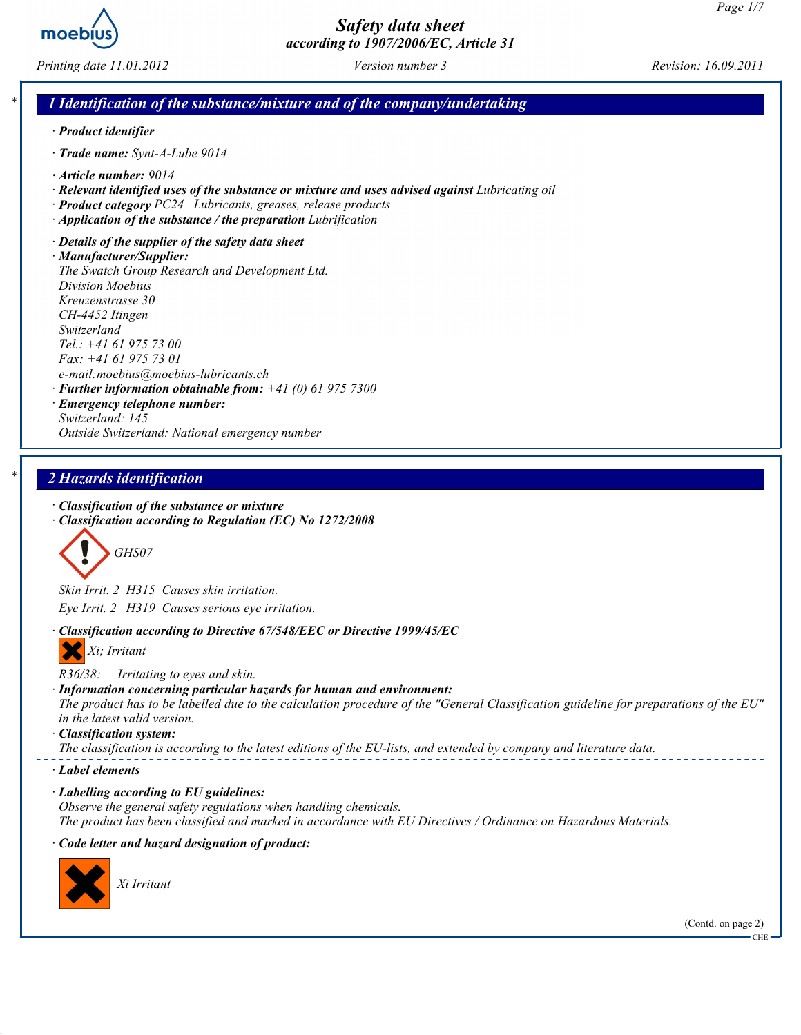

Printing date 11.01.2012 Version number 3 Revision: 16.09.2011

## 1 Identification of the substance/mixture and of the company/undertaking

- · Product identifier
- · Trade name: Synt-A-Lube 9014
- · Article number: 9014
- · Relevant identified uses of the substance or mixture and uses advised against Lubricating oil
- · Product category PC24 Lubricants, greases, release products
- $\cdot$  Application of the substance / the preparation Lubrification

· Details of the supplier of the safety data sheet · Manufacturer/Supplier: The Swatch Group Research and Development Ltd. Division Moebius Kreuzenstrasse 30 CH-4452 Itingen Switzerland Tel.: +41 61 975 73 00 Fax: +41 61 975 73 01 e-mail:moebius@moebius-lubricants.ch  $\cdot$  Further information obtainable from:  $+41$  (0) 61 975 7300

#### · Emergency telephone number: Switzerland: 145 Outside Switzerland: National emergency number

## 2 Hazards identification

- · Classification of the substance or mixture
- · Classification according to Regulation (EC) No 1272/2008



Skin Irrit. 2 H315 Causes skin irritation. Eye Irrit. 2 H319 Causes serious eye irritation.

· Classification according to Directive 67/548/EEC or Directive 1999/45/EC

Xi; Irritant

R36/38: Irritating to eyes and skin.

#### · Information concerning particular hazards for human and environment:

The product has to be labelled due to the calculation procedure of the "General Classification guideline for preparations of the EU" in the latest valid version.

#### · Classification system:

The classification is according to the latest editions of the EU-lists, and extended by company and literature data.

#### · Label elements

· Labelling according to EU guidelines: Observe the general safety regulations when handling chemicals. The product has been classified and marked in accordance with EU Directives / Ordinance on Hazardous Materials.

#### · Code letter and hazard designation of product:



(Contd. on page 2)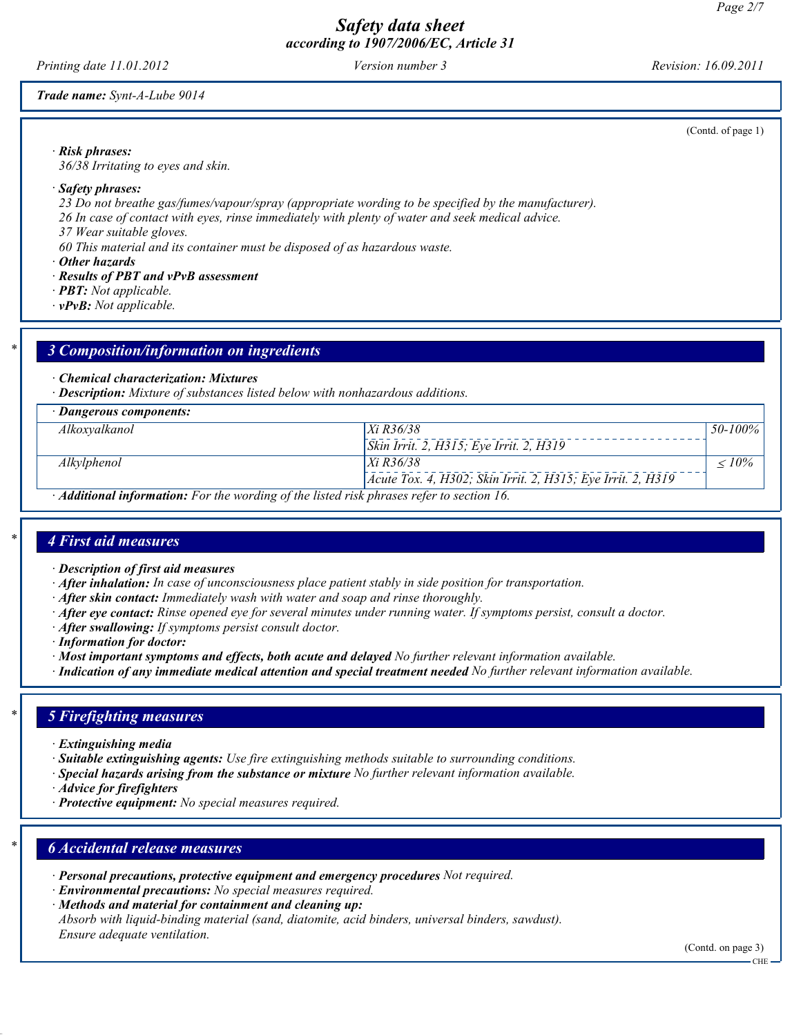Printing date 11.01.2012 Version number 3 Revision: 16.09.2011

(Contd. of page 1)

Trade name: Synt-A-Lube 9014

· Risk phrases:

36/38 Irritating to eyes and skin.

#### · Safety phrases:

23 Do not breathe gas/fumes/vapour/spray (appropriate wording to be specified by the manufacturer).

26 In case of contact with eyes, rinse immediately with plenty of water and seek medical advice.

37 Wear suitable gloves.

60 This material and its container must be disposed of as hazardous waste.

· Other hazards

- · Results of PBT and vPvB assessment
- · PBT: Not applicable.
- $\cdot$  vPvB: Not applicable.

## 3 Composition/information on ingredients

#### · Chemical characterization: Mixtures

· Description: Mixture of substances listed below with nonhazardous additions.

| · Dangerous components:                                                                   |                                                             |              |
|-------------------------------------------------------------------------------------------|-------------------------------------------------------------|--------------|
| Alkoxyalkanol                                                                             | $Xi$ R36/38                                                 | $50 - 100\%$ |
|                                                                                           | <i>Skin Irrit. 2, H315; Eye Irrit. 2, H319</i>              |              |
| Alkylphenol                                                                               | $Xi$ R36/38                                                 | $< 10\%$     |
|                                                                                           | Acute Tox. 4, H302; Skin Irrit. 2, H315; Eye Irrit. 2, H319 |              |
| · Additional information: For the wording of the listed risk phrases refer to section 16. |                                                             |              |

## 4 First aid measures

- · Description of first aid measures
- $\cdot$  **After inhalation:** In case of unconsciousness place patient stably in side position for transportation.
- $\cdot$  **After skin contact:** Immediately wash with water and soap and rinse thoroughly.
- · After eye contact: Rinse opened eye for several minutes under running water. If symptoms persist, consult a doctor.
- · After swallowing: If symptoms persist consult doctor.
- · Information for doctor:
- · Most important symptoms and effects, both acute and delayed No further relevant information available.
- · Indication of any immediate medical attention and special treatment needed No further relevant information available.

## **5 Firefighting measures**

- · Extinguishing media
- · Suitable extinguishing agents: Use fire extinguishing methods suitable to surrounding conditions.
- · Special hazards arising from the substance or mixture No further relevant information available.
- · Advice for firefighters
- · Protective equipment: No special measures required.

## **6 Accidental release measures**

- · Personal precautions, protective equipment and emergency procedures Not required.
- · Environmental precautions: No special measures required.
- · Methods and material for containment and cleaning up:

Absorb with liquid-binding material (sand, diatomite, acid binders, universal binders, sawdust). Ensure adequate ventilation.

(Contd. on page 3)

CHE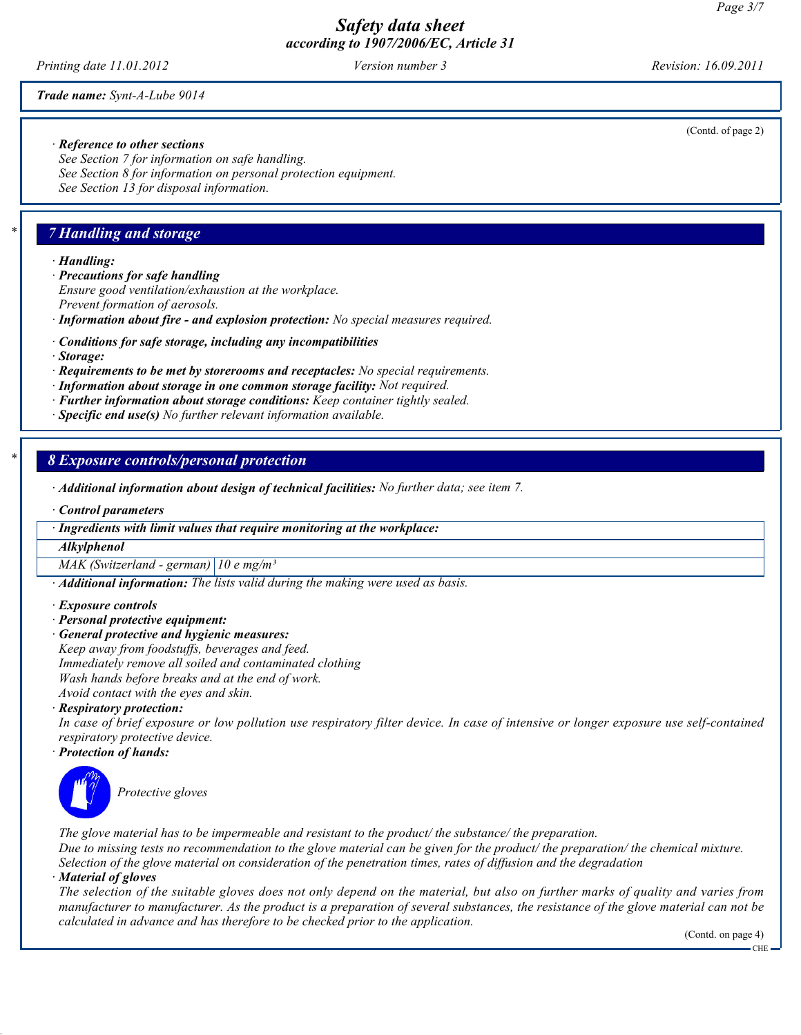Printing date 11.01.2012 Version number 3 Revision: 16.09.2011

(Contd. of page 2)

Trade name: Synt-A-Lube 9014

#### · Reference to other sections

See Section 7 for information on safe handling. See Section 8 for information on personal protection equipment. See Section 13 for disposal information.

## 7 Handling and storage

· Handling:

- · Precautions for safe handling
- Ensure good ventilation/exhaustion at the workplace.
- Prevent formation of aerosols.

· Information about fire - and explosion protection: No special measures required.

- · Conditions for safe storage, including any incompatibilities
- · Storage:
- · Requirements to be met by storerooms and receptacles: No special requirements.
- · Information about storage in one common storage facility: Not required.
- · Further information about storage conditions: Keep container tightly sealed.
- $\cdot$  Specific end use(s) No further relevant information available.

## 8 Exposure controls/personal protection

- · Additional information about design of technical facilities: No further data; see item 7.
- · Control parameters

· Ingredients with limit values that require monitoring at the workplace:

#### Alkylphenol

MAK (Switzerland - german)  $10 e$  mg/m<sup>3</sup>

· Additional information: The lists valid during the making were used as basis.

- · Exposure controls
- · Personal protective equipment:
- General protective and hygienic measures: Keep away from foodstuffs, beverages and feed. Immediately remove all soiled and contaminated clothing Wash hands before breaks and at the end of work.

Avoid contact with the eyes and skin.

#### · Respiratory protection:

In case of brief exposure or low pollution use respiratory filter device. In case of intensive or longer exposure use self-contained respiratory protective device.

#### · Protection of hands:



Protective gloves

The glove material has to be impermeable and resistant to the product/ the substance/ the preparation.

Due to missing tests no recommendation to the glove material can be given for the product/ the preparation/ the chemical mixture. Selection of the glove material on consideration of the penetration times, rates of diffusion and the degradation

#### · Material of gloves

The selection of the suitable gloves does not only depend on the material, but also on further marks of quality and varies from manufacturer to manufacturer. As the product is a preparation of several substances, the resistance of the glove material can not be calculated in advance and has therefore to be checked prior to the application.

(Contd. on page 4)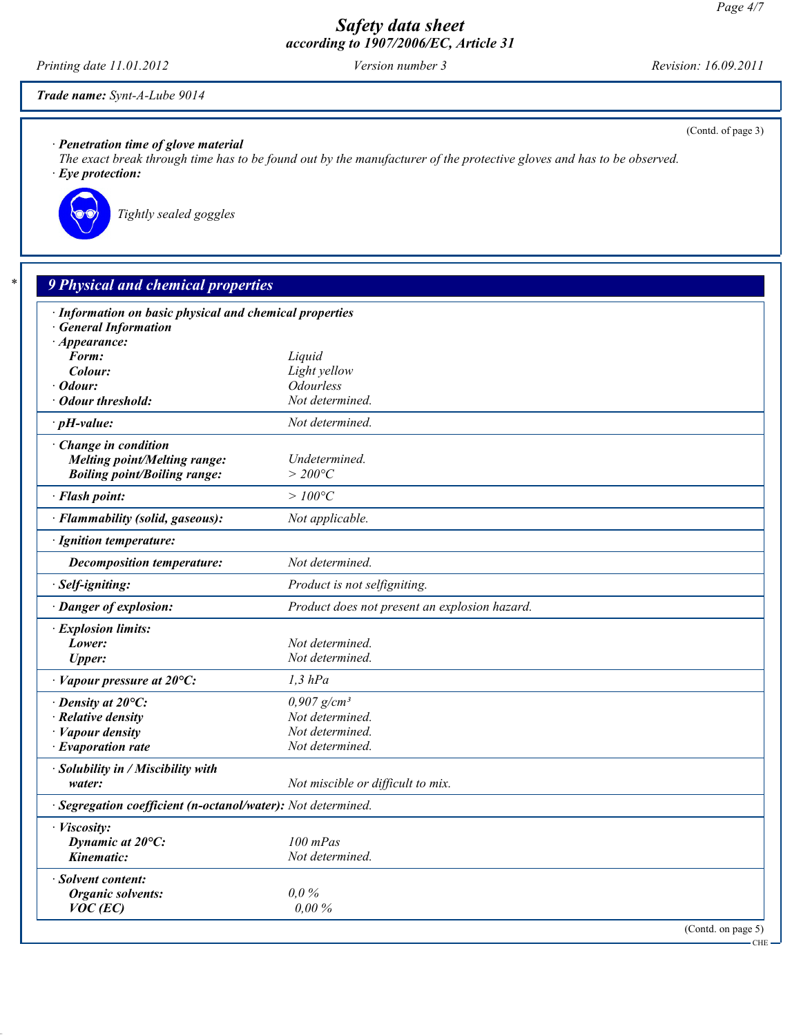Printing date 11.01.2012 Version number 3 Revision: 16.09.2011

(Contd. of page 3)

Trade name: Synt-A-Lube 9014

· Penetration time of glove material

The exact break through time has to be found out by the manufacturer of the protective gloves and has to be observed. · Eye protection:



Tightly sealed goggles

# **9 Physical and chemical properties**

| · Information on basic physical and chemical properties      |                                               |         |
|--------------------------------------------------------------|-----------------------------------------------|---------|
| <b>General Information</b>                                   |                                               |         |
| $\cdot$ Appearance:<br>Form:                                 | Liquid                                        |         |
| Colour:                                                      | Light yellow                                  |         |
| Odour:                                                       | <b>Odourless</b>                              |         |
| <b>Odour threshold:</b>                                      | Not determined.                               |         |
| $\cdot$ pH-value:                                            | Not determined.                               |         |
| · Change in condition                                        |                                               |         |
| <b>Melting point/Melting range:</b>                          | Undetermined.                                 |         |
| <b>Boiling point/Boiling range:</b>                          | $>$ 200 $^{\circ}C$                           |         |
| · Flash point:                                               | $>100^{\circ}C$                               |         |
| · Flammability (solid, gaseous):                             | Not applicable.                               |         |
| · Ignition temperature:                                      |                                               |         |
| <b>Decomposition temperature:</b>                            | Not determined.                               |         |
| · Self-igniting:                                             | Product is not selfigniting.                  |         |
| · Danger of explosion:                                       | Product does not present an explosion hazard. |         |
| · Explosion limits:                                          |                                               |         |
| Lower:                                                       | Not determined.                               |         |
| <b>Upper:</b>                                                | Not determined.                               |         |
| $\cdot$ Vapour pressure at 20 $\degree$ C:                   | $1,3$ $hPa$                                   |         |
| $\cdot$ Density at 20 $\degree$ C:                           | $0,907$ g/cm <sup>3</sup>                     |         |
| · Relative density                                           | Not determined.                               |         |
| · Vapour density                                             | Not determined.                               |         |
| $\cdot$ Evaporation rate                                     | Not determined.                               |         |
| · Solubility in / Miscibility with                           |                                               |         |
| water:                                                       | Not miscible or difficult to mix.             |         |
| · Segregation coefficient (n-octanol/water): Not determined. |                                               |         |
| · Viscosity:                                                 |                                               |         |
| Dynamic at 20°C:                                             | $100$ mPas                                    |         |
| Kinematic:                                                   | Not determined.                               |         |
| Solvent content:                                             |                                               |         |
| <b>Organic solvents:</b>                                     | $0.0\%$                                       |         |
| $VOC$ (EC)                                                   | 0.00%                                         |         |
|                                                              | (Contd. on page 5)                            |         |
|                                                              |                                               | $-$ CHE |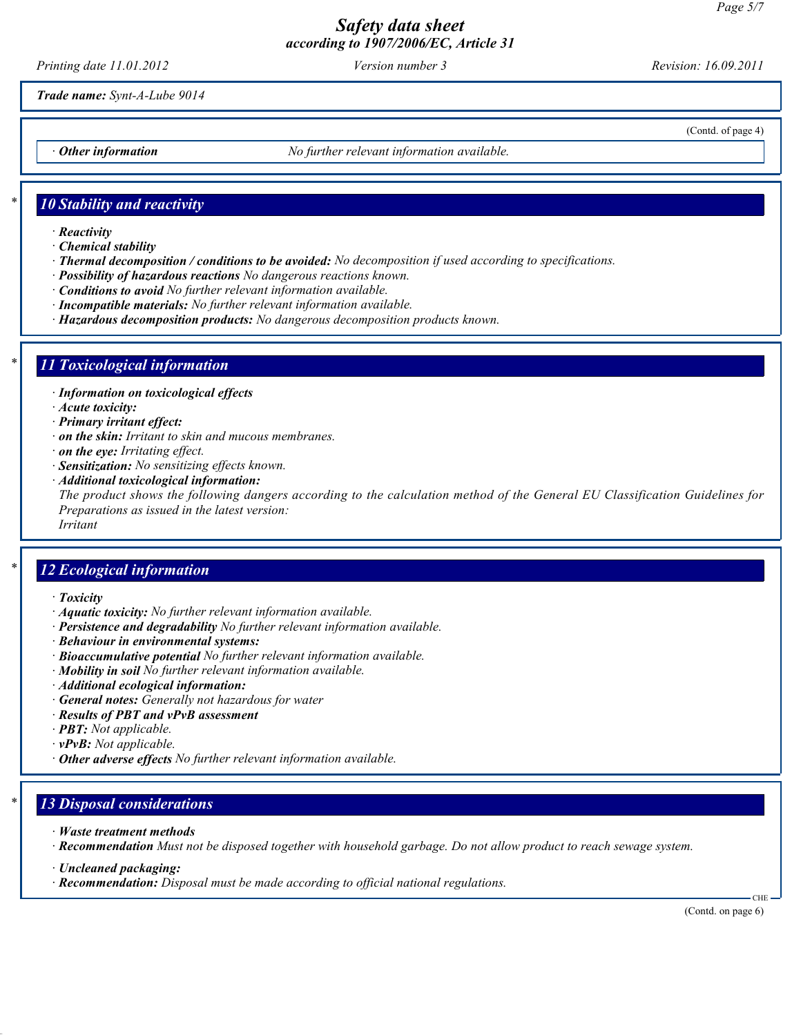Printing date 11.01.2012 Version number 3 Revision: 16.09.2011

(Contd. of page 4)

Trade name: Synt-A-Lube 9014

Other information **Outlange 10** No further relevant information available.

### 10 Stability and reactivity

- · Reactivity
- · Chemical stability
- · Thermal decomposition / conditions to be avoided: No decomposition if used according to specifications.
- · Possibility of hazardous reactions No dangerous reactions known.
- · Conditions to avoid No further relevant information available.
- · Incompatible materials: No further relevant information available.
- · Hazardous decomposition products: No dangerous decomposition products known.

#### 11 Toxicological information

- · Information on toxicological effects
- · Acute toxicity:
- · Primary irritant effect:
- · on the skin: Irritant to skin and mucous membranes.
- · on the eye: Irritating effect.
- · Sensitization: No sensitizing effects known.
- · Additional toxicological information:

The product shows the following dangers according to the calculation method of the General EU Classification Guidelines for Preparations as issued in the latest version:

Irritant

#### 12 Ecological information

- · Toxicity
- · Aquatic toxicity: No further relevant information available.
- · Persistence and degradability No further relevant information available.
- · Behaviour in environmental systems:
- · Bioaccumulative potential No further relevant information available.
- · Mobility in soil No further relevant information available.
- · Additional ecological information:
- · General notes: Generally not hazardous for water
- · Results of PBT and vPvB assessment
- $\cdot$  **PBT:** Not applicable.
- $\cdot$  **vPvB:** Not applicable.
- $\cdot$  Other adverse effects No further relevant information available.

### 13 Disposal considerations

- · Waste treatment methods
- · Recommendation Must not be disposed together with household garbage. Do not allow product to reach sewage system.
- · Uncleaned packaging:
- · Recommendation: Disposal must be made according to official national regulations.

CHE

(Contd. on page 6)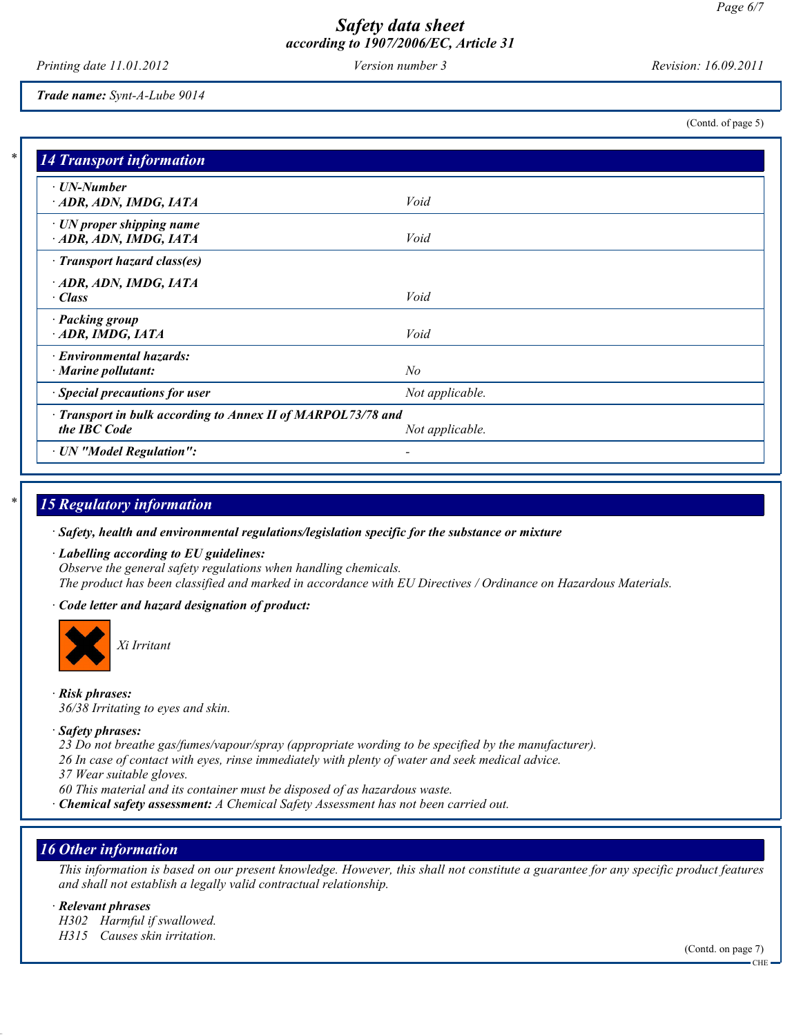Printing date 11.01.2012 Version number 3 Revision: 16.09.2011

(Contd. of page 5)

Trade name: Synt-A-Lube 9014

14 Transport information · UN-Number · ADR, ADN, IMDG, IATA Void · UN proper shipping name  $\cdot$  ADR, ADN, IMDG, IATA  $Void$ · Transport hazard class(es) · ADR, ADN, IMDG, IATA · Class Void · Packing group · ADR, IMDG, IATA Void · Environmental hazards:  $\cdot$  Marine pollutant:  $N_o$  $\cdot$  Special precautions for user  $\cdot$  Not applicable. · Transport in bulk according to Annex II of MARPOL73/78 and the IBC Code Not applicable. · UN "Model Regulation": -

# 15 Regulatory information

· Safety, health and environmental regulations/legislation specific for the substance or mixture

· Labelling according to EU guidelines: Observe the general safety regulations when handling chemicals. The product has been classified and marked in accordance with EU Directives / Ordinance on Hazardous Materials.

· Code letter and hazard designation of product:



Xi Irritant

· Risk phrases: 36/38 Irritating to eyes and skin.

#### · Safety phrases:

23 Do not breathe gas/fumes/vapour/spray (appropriate wording to be specified by the manufacturer).

26 In case of contact with eyes, rinse immediately with plenty of water and seek medical advice.

37 Wear suitable gloves.

60 This material and its container must be disposed of as hazardous waste.

· Chemical safety assessment: A Chemical Safety Assessment has not been carried out.

## 16 Other information

This information is based on our present knowledge. However, this shall not constitute a guarantee for any specific product features and shall not establish a legally valid contractual relationship.

· Relevant phrases

- H302 Harmful if swallowed.
- H315 Causes skin irritation.

(Contd. on page 7)